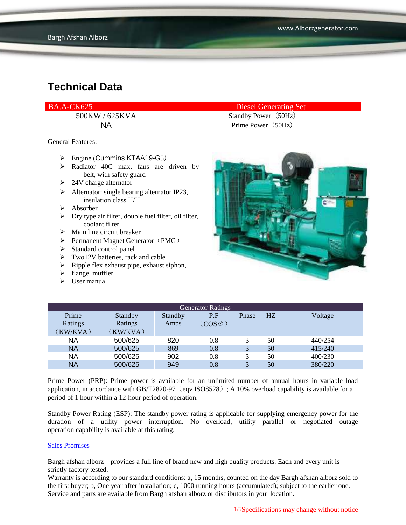BA.A-CK625 Diesel Generating Set

General Features:

- $\triangleright$  Engine (Cummins KTAA19-G5)
- $\triangleright$  Radiator 40C max, fans are driven by belt, with safety guard
- $\geq$  24V charge alternator
- $\triangleright$  Alternator: single bearing alternator IP23, insulation class H/H
- $\triangleright$  Absorber
- $\triangleright$  Dry type air filter, double fuel filter, oil filter, coolant filter
- $\triangleright$  Main line circuit breaker
- $\triangleright$  Permanent Magnet Generator (PMG)
- $\triangleright$  Standard control panel
- $\triangleright$  Two12V batteries, rack and cable
- $\triangleright$  Ripple flex exhaust pipe, exhaust siphon,
- $\blacktriangleright$  flange, muffler
- $\triangleright$  User manual





| <b>Generator Ratings</b> |                |         |                     |              |                |         |
|--------------------------|----------------|---------|---------------------|--------------|----------------|---------|
| Prime                    | <b>Standby</b> | Standby | P.F                 | Phase        | H <sub>Z</sub> | Voltage |
| Ratings                  | Ratings        | Amps    | $(COS \mathcal{C})$ |              |                |         |
| (KW/KVA)                 | (KW/KVA)       |         |                     |              |                |         |
| NA                       | 500/625        | 820     | 0.8                 |              | 50             | 440/254 |
| <b>NA</b>                | 500/625        | 869     | 0.8                 | 3            | 50             | 415/240 |
| ΝA                       | 500/625        | 902     | 0.8                 |              | 50             | 400/230 |
| <b>NA</b>                | 500/625        | 949     | $0.8\,$             | $\mathbf{R}$ | 50             | 380/220 |

Prime Power (PRP): Prime power is available for an unlimited number of annual hours in variable load application, in accordance with GB/T2820-97 (eqv ISO8528); A 10% overload capability is available for a period of 1 hour within a 12-hour period of operation.

Standby Power Rating (ESP): The standby power rating is applicable for supplying emergency power for the duration of a utility power interruption. No overload, utility parallel or negotiated outage operation capability is available at this rating.

#### Sales Promises

Bargh afshan alborz provides a full line of brand new and high quality products. Each and every unit is strictly factory tested.

Warranty is according to our standard conditions: a, 15 months, counted on the day Bargh afshan alborz sold to the first buyer; b, One year after installation; c, 1000 running hours (accumulated); subject to the earlier one. Service and parts are available from Bargh afshan alborz or distributors in your location.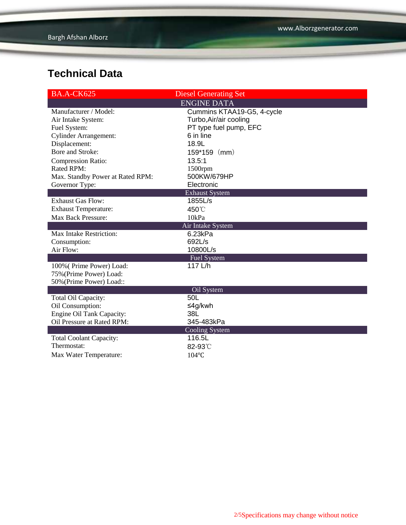| <b>BA.A-CK625</b>                | <b>Diesel Generating Set</b>    |  |  |
|----------------------------------|---------------------------------|--|--|
|                                  | <b>ENGINE DATA</b>              |  |  |
| Manufacturer / Model:            | Cummins KTAA19-G5, 4-cycle      |  |  |
| Air Intake System:               | Turbo, Air/air cooling          |  |  |
| Fuel System:                     | PT type fuel pump, EFC          |  |  |
| <b>Cylinder Arrangement:</b>     | 6 in line                       |  |  |
| Displacement:                    | 18.9L                           |  |  |
| Bore and Stroke:                 | $159*159$ (mm)                  |  |  |
| Compression Ratio:               | 13.5:1                          |  |  |
| Rated RPM:                       | $1500$ rpm                      |  |  |
| Max. Standby Power at Rated RPM: | 500KW/679HP                     |  |  |
| Governor Type:                   | Electronic                      |  |  |
|                                  | <b>Exhaust System</b>           |  |  |
| <b>Exhaust Gas Flow:</b>         | 1855L/s                         |  |  |
| <b>Exhaust Temperature:</b>      | 450°C                           |  |  |
| Max Back Pressure:               | 10kPa                           |  |  |
| Air Intake System                |                                 |  |  |
| Max Intake Restriction:          | 6.23kPa                         |  |  |
| Consumption:                     | 692L/s                          |  |  |
| Air Flow:                        | 10800L/s                        |  |  |
|                                  | <b>Fuel System</b>              |  |  |
| 100% (Prime Power) Load:         | 117 L/h                         |  |  |
| 75% (Prime Power) Load:          |                                 |  |  |
| 50% (Prime Power) Load::         |                                 |  |  |
|                                  | Oil System                      |  |  |
| Total Oil Capacity:              | 50L                             |  |  |
| Oil Consumption:                 | ≤4g/kwh                         |  |  |
| Engine Oil Tank Capacity:        | 38L                             |  |  |
| Oil Pressure at Rated RPM:       | 345-483kPa                      |  |  |
|                                  | <b>Cooling System</b><br>116.5L |  |  |
| <b>Total Coolant Capacity:</b>   |                                 |  |  |
| Thermostat:                      | 82-93°C                         |  |  |
| Max Water Temperature:           | 104°C                           |  |  |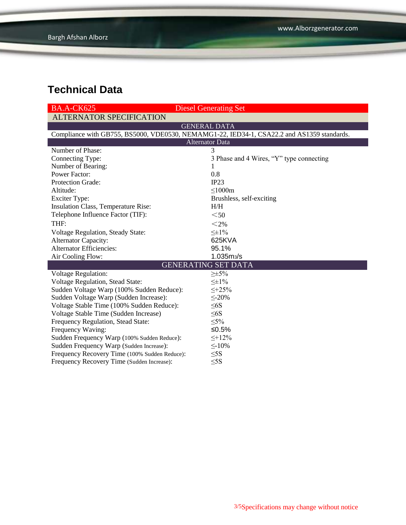| <b>BA.A-CK625</b>                                                                          | <b>Diesel Generating Set</b>             |  |  |  |  |
|--------------------------------------------------------------------------------------------|------------------------------------------|--|--|--|--|
| <b>ALTERNATOR SPECIFICATION</b>                                                            |                                          |  |  |  |  |
|                                                                                            | <b>GENERAL DATA</b>                      |  |  |  |  |
| Compliance with GB755, BS5000, VDE0530, NEMAMG1-22, IED34-1, CSA22.2 and AS1359 standards. |                                          |  |  |  |  |
| <b>Alternator Data</b>                                                                     |                                          |  |  |  |  |
| Number of Phase:                                                                           | 3                                        |  |  |  |  |
| Connecting Type:                                                                           | 3 Phase and 4 Wires, "Y" type connecting |  |  |  |  |
| Number of Bearing:                                                                         | 1                                        |  |  |  |  |
| <b>Power Factor:</b>                                                                       | 0.8                                      |  |  |  |  |
| Protection Grade:                                                                          | IP23                                     |  |  |  |  |
| Altitude:                                                                                  | $\leq$ 1000m                             |  |  |  |  |
| <b>Exciter Type:</b>                                                                       | Brushless, self-exciting                 |  |  |  |  |
| Insulation Class, Temperature Rise:                                                        | H/H                                      |  |  |  |  |
| Telephone Influence Factor (TIF):                                                          | $50$                                     |  |  |  |  |
| THF:                                                                                       | $<$ 2%                                   |  |  |  |  |
| Voltage Regulation, Steady State:                                                          | $\leq \pm 1\%$                           |  |  |  |  |
| <b>Alternator Capacity:</b>                                                                | 625KVA                                   |  |  |  |  |
| <b>Alternator Efficiencies:</b>                                                            | 95.1%                                    |  |  |  |  |
| Air Cooling Flow:                                                                          | 1.035ms/s                                |  |  |  |  |
| <b>GENERATING SET DATA</b>                                                                 |                                          |  |  |  |  |
| Voltage Regulation:                                                                        | $\geq \pm 5\%$                           |  |  |  |  |
| Voltage Regulation, Stead State:                                                           | $\leq \pm 1\%$                           |  |  |  |  |
| Sudden Voltage Warp (100% Sudden Reduce):                                                  | $\leq +25\%$                             |  |  |  |  |
| Sudden Voltage Warp (Sudden Increase):                                                     | $\leq$ -20%                              |  |  |  |  |
| Voltage Stable Time (100% Sudden Reduce):                                                  | $\leq 6S$                                |  |  |  |  |
| Voltage Stable Time (Sudden Increase)                                                      | $\leq 6S$                                |  |  |  |  |
| Frequency Regulation, Stead State:                                                         | $\leq 5\%$                               |  |  |  |  |
| Frequency Waving:                                                                          | ≤0.5%                                    |  |  |  |  |
| Sudden Frequency Warp (100% Sudden Reduce):                                                | $\leq +12\%$                             |  |  |  |  |
| Sudden Frequency Warp (Sudden Increase):                                                   | $\leq$ -10%                              |  |  |  |  |
| Frequency Recovery Time (100% Sudden Reduce):                                              | $\leq$ 5S                                |  |  |  |  |
| Frequency Recovery Time (Sudden Increase):                                                 | $\leq$ 5S                                |  |  |  |  |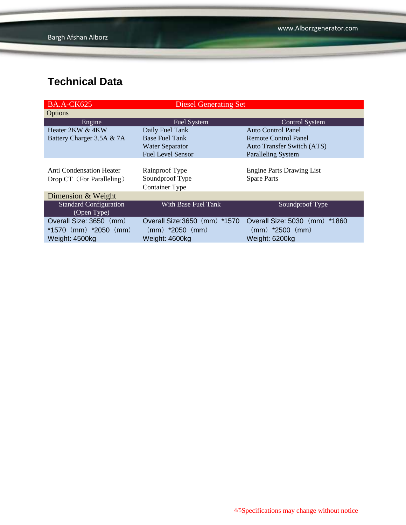| <b>BA.A-CK625</b>             | <b>Diesel Generating Set</b>  |                                   |  |
|-------------------------------|-------------------------------|-----------------------------------|--|
| Options                       |                               |                                   |  |
| Engine                        | Fuel System                   | <b>Control System</b>             |  |
| Heater 2KW & 4KW              | Daily Fuel Tank               | Auto Control Panel                |  |
| Battery Charger 3.5A & 7A     | <b>Base Fuel Tank</b>         | <b>Remote Control Panel</b>       |  |
|                               | <b>Water Separator</b>        | <b>Auto Transfer Switch (ATS)</b> |  |
|                               | <b>Fuel Level Sensor</b>      | <b>Paralleling System</b>         |  |
|                               |                               |                                   |  |
| Anti Condensation Heater      | Rainproof Type                | <b>Engine Parts Drawing List</b>  |  |
| Drop CT (For Paralleling)     | Soundproof Type               | <b>Spare Parts</b>                |  |
|                               | <b>Container Type</b>         |                                   |  |
| Dimension & Weight            |                               |                                   |  |
| <b>Standard Configuration</b> | With Base Fuel Tank           | Soundproof Type                   |  |
| (Open Type)                   |                               |                                   |  |
| Overall Size: 3650 (mm)       | Overall Size: 3650 (mm) *1570 | Overall Size: 5030 (mm)<br>*1860  |  |
| *1570 $(mm)$ *2050 $(mm)$     | $(mm)$ *2050 $(mm)$           | $(mm)$ *2500 $(mm)$               |  |
| Weight: 4500kg                | Weight: 4600kg                | Weight: 6200kg                    |  |